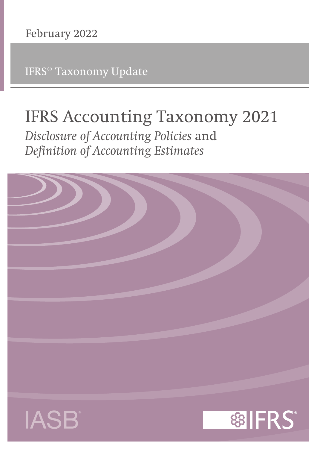IFRS® Taxonomy Update

# **IFRS Accounting Taxonomy 2021**

*Disclosure of Accounting Policies* **and** *Definition of Accounting Estimates*

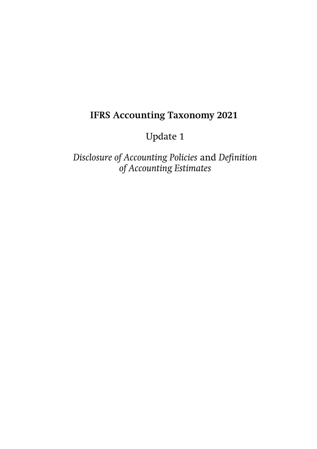# **IFRS Accounting Taxonomy 2021**

# Update 1

*Disclosure of Accounting Policies* and *Definition of Accounting Estimates*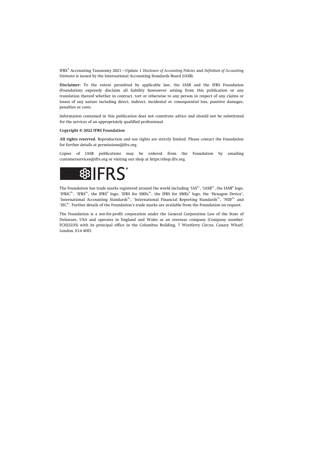IFRS® Accounting Taxonomy 2021—Update 1 *Disclosure of Accounting Policies* and *Definition of Accounting Estimates* is issued by the International Accounting Standards Board (IASB).

**Disclaimer:** To the extent permitted by applicable law, the IASB and the IFRS Foundation (Foundation) expressly disclaim all liability howsoever arising from this publication or any translation thereof whether in contract, tort or otherwise to any person in respect of any claims or losses of any nature including direct, indirect, incidental or consequential loss, punitive damages, penalties or costs.

Information contained in this publication does not constitute advice and should not be substituted for the services of an appropriately qualified professional.

#### **Copyright © 2022 IFRS Foundation**

**All rights reserved.** Reproduction and use rights are strictly limited. Please contact the Foundation for further details at [permissions@ifrs.org](mailto:permissions@ifrs.org).

Copies of IASB publications may be ordered from the Foundation by emailing [customerservices@ifrs.org](mailto:customerservices@ifrs.org) or visiting our shop at<https://shop.ifrs.org>.



The Foundation has trade marks registered around the world including 'IAS®', 'IASB®', the IASB® logo, 'IFRIC®', 'IFRS®', the IFRS® logo, 'IFRS for SMEs®', the IFRS for SMEs® logo, the 'Hexagon Device', 'International Accounting Standards®', 'International Financial Reporting Standards®', 'NIIF®' and 'SIC®'. Further details of the Foundation's trade marks are available from the Foundation on request.

The Foundation is a not-for-profit corporation under the General Corporation Law of the State of Delaware, USA and operates in England and Wales as an overseas company (Company number: FC023235) with its principal office in the Columbus Building, 7 Westferry Circus, Canary Wharf, London, E14 4HD.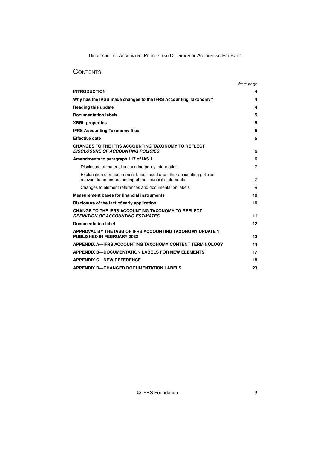# **CONTENTS**

|                                                                                                                                 | from page      |
|---------------------------------------------------------------------------------------------------------------------------------|----------------|
| <b>INTRODUCTION</b>                                                                                                             | 4              |
| Why has the IASB made changes to the IFRS Accounting Taxonomy?                                                                  | 4              |
| <b>Reading this update</b>                                                                                                      | 4              |
| <b>Documentation labels</b>                                                                                                     | 5              |
| <b>XBRL</b> properties                                                                                                          | 5              |
| <b>IFRS Accounting Taxonomy files</b>                                                                                           | 5              |
| <b>Effective date</b>                                                                                                           | 5              |
| <b>CHANGES TO THE IFRS ACCOUNTING TAXONOMY TO REFLECT</b><br><b>DISCLOSURE OF ACCOUNTING POLICIES</b>                           | 6              |
| Amendments to paragraph 117 of IAS 1                                                                                            | 6              |
| Disclosure of material accounting policy information                                                                            | $\overline{7}$ |
| Explanation of measurement bases used and other accounting policies<br>relevant to an understanding of the financial statements | 7              |
| Changes to element references and documentation labels                                                                          | 9              |
| <b>Measurement bases for financial instruments</b>                                                                              | 10             |
| Disclosure of the fact of early application                                                                                     | 10             |
| CHANGE TO THE IFRS ACCOUNTING TAXONOMY TO REFLECT<br><b>DEFINITION OF ACCOUNTING ESTIMATES</b>                                  | 11             |
| <b>Documentation label</b>                                                                                                      | 12             |
| APPROVAL BY THE IASB OF IFRS ACCOUNTING TAXONOMY UPDATE 1<br><b>PUBLISHED IN FEBRUARY 2022</b>                                  | 13             |
| APPENDIX A—IFRS ACCOUNTING TAXONOMY CONTENT TERMINOLOGY                                                                         | 14             |
| <b>APPENDIX B-DOCUMENTATION LABELS FOR NEW ELEMENTS</b>                                                                         | 17             |
| <b>APPENDIX C-NEW REFERENCE</b>                                                                                                 | 18             |
| <b>APPENDIX D-CHANGED DOCUMENTATION LABELS</b>                                                                                  | 23             |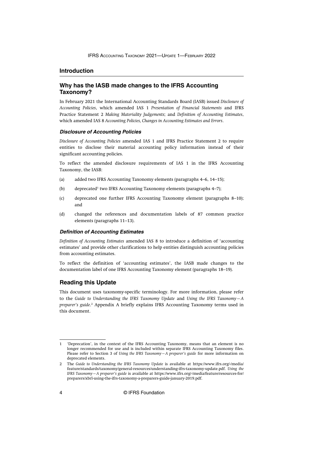#### <span id="page-4-0"></span>**Introduction**

## **Why has the IASB made changes to the IFRS Accounting Taxonomy?**

In February 2021 the International Accounting Standards Board (IASB) issued *[Disclosure of](https://www.ifrs.org/projects/completed-projects/2021/accounting-policies/) [Accounting Policies](https://www.ifrs.org/projects/completed-projects/2021/accounting-policies/)*, which amended IAS 1 *Presentation of Financial Statements* and IFRS Practice Statement 2 *Making Materiality Judgements*; and *[Definition of Accounting Estimates](https://www.ifrs.org/projects/completed-projects/2021/accounting-policies-and-accounting-estimates/)*, which amended IAS 8 *Accounting Policies, Changes in Accounting Estimates and Errors*.

#### **Disclosure of Accounting Policies**

*Disclosure of Accounting Policies* amended IAS 1 and IFRS Practice Statement 2 to require entities to disclose their material accounting policy information instead of their significant accounting policies.

To reflect the amended disclosure requirements of IAS 1 in the IFRS Accounting Taxonomy, the IASB:

- (a) added two IFRS Accounting Taxonomy elements (paragraphs 4–6, 14–15);
- (b) deprecated<sup>1</sup> two IFRS Accounting Taxonomy elements (paragraphs 4–7);
- (c) deprecated one further IFRS Accounting Taxonomy element (paragraphs 8–10); and
- (d) changed the references and documentation labels of 87 common practice elements (paragraphs 11–13).

#### **Definition of Accounting Estimates**

*Definition of Accounting Estimates* amended IAS 8 to introduce a definition of 'accounting estimates' and provide other clarifications to help entities distinguish accounting policies from accounting estimates.

To reflect the definition of 'accounting estimates', the IASB made changes to the documentation label of one IFRS Accounting Taxonomy element (paragraphs 18–19).

#### **Reading this Update**

This document uses taxonomy-specific terminology. For more information, please refer to the *[Guide to Understanding the IFRS Taxonomy Update](https://www.ifrs.org/-/media/feature/standards/taxonomy/general-resources/understanding-ifrs-taxonomy-update.pdf)* and *[Using the IFRS Taxonomy—A](https://www.ifrs.org/-/media/feature/resources-for/preparers/xbrl-using-the-ifrs-taxonomy-a-preparers-guide-january-2019.pdf?la=en)* [preparer's guide](https://www.ifrs.org/-/media/feature/resources-for/preparers/xbrl-using-the-ifrs-taxonomy-a-preparers-guide-january-2019.pdf?la=en).<sup>2</sup> Appendix A briefly explains IFRS Accounting Taxonomy terms used in this document.

<sup>1</sup> 'Deprecation', in the context of the IFRS Accounting Taxonomy, means that an element is no longer recommended for use and is included within separate IFRS Accounting Taxonomy files. Please refer to Section 3 of *Using the IFRS Taxonomy—A preparer's guide* for more information on deprecated elements.

<sup>2</sup> The *Guide to Understanding the IFRS Taxonomy Update* is available at [https://www.ifrs.org/-/media/](https://www.ifrs.org/-/media/feature/standards/taxonomy/general-resources/understanding-ifrs-taxonomy-update.pdf) [feature/standards/taxonomy/general-resources/understanding-ifrs-taxonomy-update.pdf](https://www.ifrs.org/-/media/feature/standards/taxonomy/general-resources/understanding-ifrs-taxonomy-update.pdf). *Using the IFRS Taxonomy—A preparer's guide* is available at [https://www.ifrs.org/-/media/feature/resources-for/](https://www.ifrs.org/-/media/feature/resources-for/preparers/xbrl-using-the-ifrs-taxonomy-a-preparers-guide-january-2019.pdf?la=en) [preparers/xbrl-using-the-ifrs-taxonomy-a-preparers-guide-january-2019.pdf](https://www.ifrs.org/-/media/feature/resources-for/preparers/xbrl-using-the-ifrs-taxonomy-a-preparers-guide-january-2019.pdf?la=en).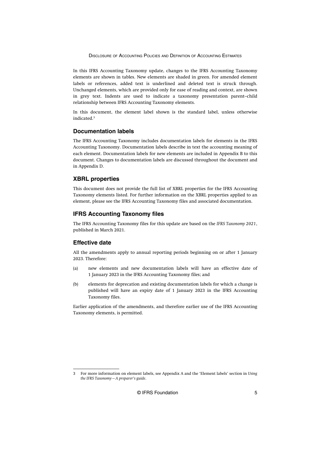<span id="page-5-0"></span>In this IFRS Accounting Taxonomy update, changes to the IFRS Accounting Taxonomy elements are shown in tables. New elements are shaded in green. For amended element labels or references, added text is underlined and deleted text is struck through. Unchanged elements, which are provided only for ease of reading and context, are shown in grey text. Indents are used to indicate a taxonomy presentation parent–child relationship between IFRS Accounting Taxonomy elements.

In this document, the element label shown is the standard label, unless otherwise indicated.<sup>3</sup>

## **Documentation labels**

The IFRS Accounting Taxonomy includes documentation labels for elements in the IFRS Accounting Taxonomy. Documentation labels describe in text the accounting meaning of each element. Documentation labels for new elements are included in Appendix B to this document. Changes to documentation labels are discussed throughout the document and in Appendix D.

#### **XBRL properties**

This document does not provide the full list of XBRL properties for the IFRS Accounting Taxonomy elements listed. For further information on the XBRL properties applied to an element, please see the IFRS Accounting Taxonomy files and associated documentation.

#### **IFRS Accounting Taxonomy files**

The IFRS Accounting Taxonomy files for this update are based on the *IFRS Taxonomy 2021*, published in March 2021.

# **Effective date**

All the amendments apply to annual reporting periods beginning on or after 1 January 2023. Therefore:

- (a) new elements and new documentation labels will have an effective date of 1 January 2023 in the IFRS Accounting Taxonomy files; and
- (b) elements for deprecation and existing documentation labels for which a change is published will have an expiry date of 1 January 2023 in the IFRS Accounting Taxonomy files.

Earlier application of the amendments, and therefore earlier use of the IFRS Accounting Taxonomy elements, is permitted.

<sup>3</sup> For more information on element labels, see Appendix A and the 'Element labels' section in *Using the IFRS Taxonomy—A preparer's guide*.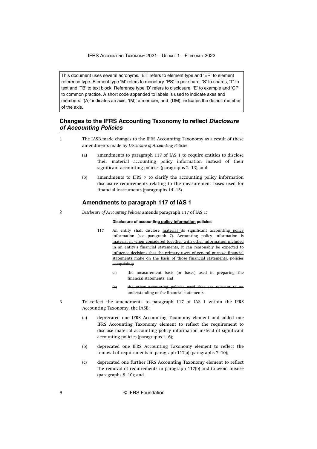<span id="page-6-0"></span>This document uses several acronyms. 'ET' refers to element type and 'ER' to element reference type. Element type 'M' refers to monetary, 'PS' to per share, 'S' to shares, 'T' to text and 'TB' to text block. Reference type 'D' refers to disclosure, 'E' to example and 'CP' to common practice. A short code appended to labels is used to indicate axes and members: '(A)' indicates an axis, '(M)' a member, and '(DM)' indicates the default member of the axis.

# **Changes to the IFRS Accounting Taxonomy to reflect Disclosure of Accounting Policies**

- The IASB made changes to the IFRS Accounting Taxonomy as a result of these amendments made by *Disclosure of Accounting Policies*:
	- (a) amendments to paragraph 117 of IAS 1 to require entities to disclose their material accounting policy information instead of their significant accounting policies (paragraphs 2–13); and
	- (b) amendments to IFRS 7 to clarify the accounting policy information disclosure requirements relating to the measurement bases used for financial instruments (paragraphs 14–15).

## **Amendments to paragraph 117 of IAS 1**

*Disclosure of Accounting Policies* amends paragraph 117 of IAS 1: 2

#### **Disclosure of accounting policy information policies**

- 117 An entity shall disclose material its significant accounting policy information (see paragraph 7). Accounting policy information is material if, when considered together with other information included in an entity's financial statements, it can reasonably be expected to influence decisions that the primary users of general purpose financial statements make on the basis of those financial statements. policies comprising:
	- (a) the measurement basis (or bases) used in preparing the financial statements; and
	- (b) the other accounting policies used that are relevant to an understanding of the financial statements.
- To reflect the amendments to paragraph 117 of IAS 1 within the IFRS Accounting Taxonomy, the IASB:
	- (a) deprecated one IFRS Accounting Taxonomy element and added one IFRS Accounting Taxonomy element to reflect the requirement to disclose material accounting policy information instead of significant accounting policies (paragraphs 4–6);
	- (b) deprecated one IFRS Accounting Taxonomy element to reflect the removal of requirements in paragraph 117(a) (paragraphs 7–10);
	- (c) deprecated one further IFRS Accounting Taxonomy element to reflect the removal of requirements in paragraph 117(b) and to avoid misuse (paragraphs 8–10); and

3

1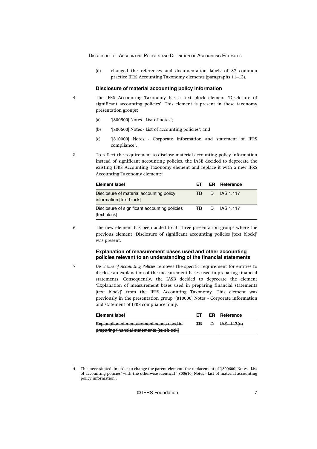<span id="page-7-0"></span>(d) changed the references and documentation labels of 87 common practice IFRS Accounting Taxonomy elements (paragraphs 11–13).

#### **Disclosure of material accounting policy information**

- The IFRS Accounting Taxonomy has a text block element 'Disclosure of significant accounting policies'. This element is present in these taxonomy presentation groups:
	- (a) '[800500] Notes List of notes';
	- (b) '[800600] Notes List of accounting policies'; and
	- (c) '[810000] Notes Corporate information and statement of IFRS compliance'.
- To reflect the requirement to disclose material accounting policy information instead of significant accounting policies, the IASB decided to deprecate the existing IFRS Accounting Taxonomy element and replace it with a new IFRS Accounting Taxonomy element:<sup>4</sup>

| Element label                                                        |     |              | ET ER Reference  |
|----------------------------------------------------------------------|-----|--------------|------------------|
| Disclosure of material accounting policy<br>information [text block] | TR  |              | D IAS 1.117      |
| Disclosure of significant accounting policies<br><b>Itext block</b>  | ΙB. | $\mathsf{P}$ | <b>IAS 1.117</b> |

6

7

4

5

The new element has been added to all three presentation groups where the previous element 'Disclosure of significant accounting policies [text block]' was present.

#### **Explanation of measurement bases used and other accounting policies relevant to an understanding of the financial statements**

*Disclosure of Accounting Policies* removes the specific requirement for entities to disclose an explanation of the measurement bases used in preparing financial statements. Consequently, the IASB decided to deprecate the element 'Explanation of measurement bases used in preparing financial statements [text block]' from the IFRS Accounting Taxonomy. This element was previously in the presentation group '[810000] Notes - Corporate information and statement of IFRS compliance' only.

| Element label                               | FT. | <b>ER</b> Reference |
|---------------------------------------------|-----|---------------------|
| Explanation of measurement bases used in    | ∓B. | <b>D</b> HAS 117(a) |
| preparing financial statements [text block] |     |                     |

© IFRS Foundation 7

<sup>4</sup> This necessitated, in order to change the parent element, the replacement of '[800600] Notes - List of accounting policies' with the otherwise identical '[800610] Notes - List of material accounting policy information'.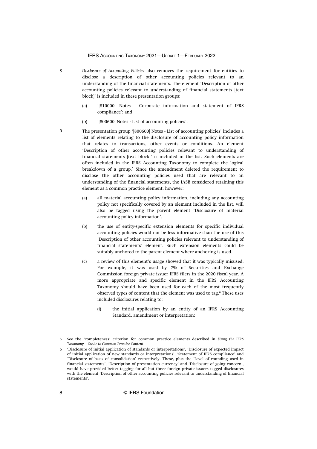- *Disclosure of Accounting Policies* also removes the requirement for entities to disclose a description of other accounting policies relevant to an understanding of the financial statements. The element 'Description of other accounting policies relevant to understanding of financial statements [text block]' is included in these presentation groups:
	- (a) '[810000] Notes Corporate information and statement of IFRS compliance'; and
	- (b) '[800600] Notes List of accounting policies'.
- The presentation group '[800600] Notes List of accounting policies' includes a list of elements relating to the disclosure of accounting policy information that relates to transactions, other events or conditions. An element 'Description of other accounting policies relevant to understanding of financial statements [text block]' is included in the list. Such elements are often included in the IFRS Accounting Taxonomy to complete the logical breakdown of a group.<sup>5</sup> Since the amendment deleted the requirement to disclose the other accounting policies used that are relevant to an understanding of the financial statements, the IASB considered retaining this element as a common practice element, however:
	- (a) all material accounting policy information, including any accounting policy not specifically covered by an element included in the list, will also be tagged using the parent element 'Disclosure of material accounting policy information'.
	- (b) the use of entity-specific extension elements for specific individual accounting policies would not be less informative than the use of this 'Description of other accounting policies relevant to understanding of financial statements' element. Such extension elements could be suitably anchored to the parent element where anchoring is used.
	- (c) a review of this element's usage showed that it was typically misused. For example, it was used by 7% of Securities and Exchange Commission foreign private issuer IFRS filers in the 2020 fiscal year. A more appropriate and specific element in the IFRS Accounting Taxonomy should have been used for each of the most frequently observed types of content that the element was used to tag.<sup>6</sup> These uses included disclosures relating to:
		- (i) the initial application by an entity of an IFRS Accounting Standard, amendment or interpretation;

8

9

<sup>5</sup> See the 'completeness' criterion for common practice elements described in *[Using the IFRS](https://cdn.ifrs.org/-/media/feature/standards/taxonomy/general-resources/common-practice-guide.pdf?la=en) [Taxonomy—Guide to Common Practice Content](https://cdn.ifrs.org/-/media/feature/standards/taxonomy/general-resources/common-practice-guide.pdf?la=en)*.

<sup>6</sup> 'Disclosure of initial application of standards or interpretations', 'Disclosure of expected impact of initial application of new standards or interpretations', 'Statement of IFRS compliance' and 'Disclosure of basis of consolidation' respectively. These, plus the 'Level of rounding used in financial statements', 'Description of presentation currency' and 'Disclosure of going concern', would have provided better tagging for all but three foreign private issuers tagged disclosures with the element 'Description of other accounting policies relevant to understanding of financial statements'.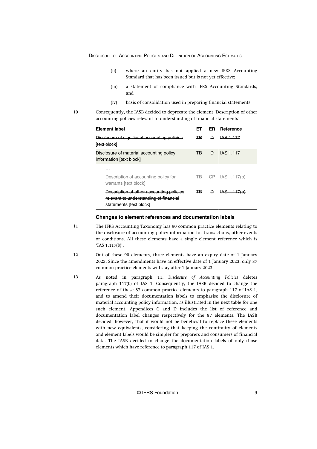- <span id="page-9-0"></span>(ii) where an entity has not applied a new IFRS Accounting Standard that has been issued but is not yet effective;
- (iii) a statement of compliance with IFRS Accounting Standards; and
- (iv) basis of consolidation used in preparing financial statements.

10

Consequently, the IASB decided to deprecate the element 'Description of other accounting policies relevant to understanding of financial statements'.

| <b>Element label</b>                                                                                          | FТ |   | <b>ER</b> Reference |
|---------------------------------------------------------------------------------------------------------------|----|---|---------------------|
| Disclosure of significant accounting policies<br><b>ftext block</b>                                           | ∓B | ₽ | <b>IAS 1.117</b>    |
| Disclosure of material accounting policy<br>information [text block]                                          | TB | D | IAS 1.117           |
| .                                                                                                             |    |   |                     |
| Description of accounting policy for<br>warrants [text block]                                                 |    |   | TB CP IAS 1.117(b)  |
| Description of other accounting policies<br>relevant to understanding of financial<br>statements Itext blockl | ∓B | Ð | AS 1.117(b)         |

#### **Changes to element references and documentation labels**

- The IFRS Accounting Taxonomy has 90 common practice elements relating to the disclosure of accounting policy information for transactions, other events or conditions. All these elements have a single element reference which is 'IAS 1.117(b)'. 11
- Out of these 90 elements, three elements have an expiry date of 1 January 2023. Since the amendments have an effective date of 1 January 2023, only 87 common practice elements will stay after 1 January 2023. 12
- As noted in paragraph 11, *Disclosure of Accounting Policies* deletes paragraph 117(b) of IAS 1. Consequently, the IASB decided to change the reference of these 87 common practice elements to paragraph 117 of IAS 1, and to amend their documentation labels to emphasise the disclosure of material accounting policy information, as illustrated in the next table for one such element. Appendices C and D includes the list of reference and documentation label changes respectively for the 87 elements. The IASB decided, however, that it would not be beneficial to replace these elements with new equivalents, considering that keeping the continuity of elements and element labels would be simpler for preparers and consumers of financial data. The IASB decided to change the documentation labels of only those elements which have reference to paragraph 117 of IAS 1. 13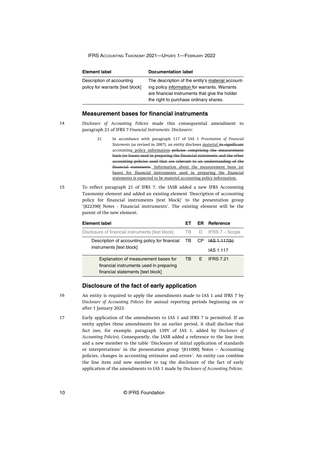<span id="page-10-0"></span>

| <b>Element label</b>                                          | <b>Documentation label</b>                                                                                                                                                                     |
|---------------------------------------------------------------|------------------------------------------------------------------------------------------------------------------------------------------------------------------------------------------------|
| Description of accounting<br>policy for warrants [text block] | The description of the entity's material account-<br>ing policy information for warrants. Warrants<br>are financial instruments that give the holder<br>the right to purchase ordinary shares. |

# **Measurement bases for financial instruments**

14

- *Disclosure of Accounting Policies* made this consequential amendment to paragraph 21 of IFRS 7 *Financial Instruments: Disclosures*:
	- 21 In accordance with paragraph 117 of IAS 1 *Presentation of Financial Statements* (as revised in 2007), an entity discloses material its significant accounting policy information-policies comprising the measurement basis (or bases) used in preparing the financial statements and the other accounting policies used that are relevant to an understanding of the financial statements. Information about the measurement basis (or bases) for financial instruments used in preparing the financial statements is expected to be material accounting policy information.
- To reflect paragraph 21 of IFRS 7, the IASB added a new IFRS Accounting Taxonomy element and added an existing element 'Description of accounting policy for financial instruments [text block]' to the presentation group '[822390] Notes - Financial instruments'. The existing element will be the parent of the new element. 15

| <b>Element label</b>                                                                                                 | FТ  |   | <b>ER</b> Reference |
|----------------------------------------------------------------------------------------------------------------------|-----|---|---------------------|
| Disclosure of financial instruments [text block]                                                                     | TB. | D | IFRS 7 – Scope      |
| Description of accounting policy for financial TB CP <del>IAS 1.117(b)</del><br>instruments [text block]             |     |   |                     |
|                                                                                                                      |     |   | IAS 1.117           |
| Explanation of measurement bases for<br>financial instruments used in preparing<br>financial statements [text block] | TB. |   | F IFRS 7.21         |

#### **Disclosure of the fact of early application**

16

An entity is required to apply the amendments made to IAS 1 and IFRS 7 by *Disclosure of Accounting Policies* for annual reporting periods beginning on or after 1 January 2023.

Early application of the amendments to IAS 1 and IFRS 7 is permitted. If an entity applies these amendments for an earlier period, it shall disclose that fact (see, for example, paragraph 139V of IAS 1, added by *Disclosure of Accounting Policies*). Consequently, the IASB added a reference to the line item and a new member to the table 'Disclosure of initial application of standards or interpretations' in the presentation group '[811000] Notes – Accounting policies, changes in accounting estimates and errors'. An entity can combine the line item and new member to tag the disclosure of the fact of early application of the amendments to IAS 1 made by *Disclosure of Accounting Policies*. 17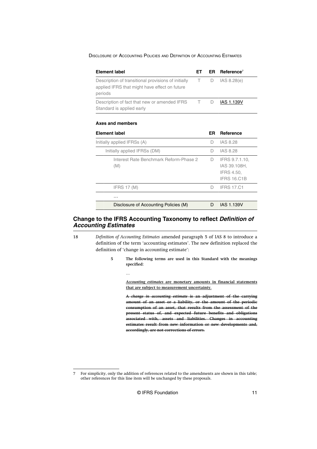<span id="page-11-0"></span>

|  |  |  | DISCLOSURE OF ACCOUNTING POLICIES AND DEFINITION OF ACCOUNTING ESTIMATES |
|--|--|--|--------------------------------------------------------------------------|
|--|--|--|--------------------------------------------------------------------------|

| <b>Element label</b>                                                                                            | EТ | ER  | Reference <sup>7</sup>                                             |
|-----------------------------------------------------------------------------------------------------------------|----|-----|--------------------------------------------------------------------|
| Description of transitional provisions of initially<br>applied IFRS that might have effect on future<br>periods | T. | D   | IAS 8.28(e)                                                        |
| Description of fact that new or amended IFRS<br>Standard is applied early                                       | т  | D   | <b>IAS 1.139V</b>                                                  |
| <b>Axes and members</b>                                                                                         |    |     |                                                                    |
| <b>Element label</b>                                                                                            |    | ER. | Reference                                                          |
| Initially applied IFRSs (A)                                                                                     |    | D   | <b>IAS 8.28</b>                                                    |
| Initially applied IFRSs (DM)                                                                                    |    | Ð   | IAS 8.28                                                           |
| Interest Rate Benchmark Reform-Phase 2<br>(M)                                                                   |    | D   | IFRS 9.7.1.10,<br>IAS 39.108H,<br>IFRS 4.50,<br><b>IFRS 16.C1B</b> |
| <b>IFRS 17 (M)</b>                                                                                              |    | D   | <b>IFRS 17.C1</b>                                                  |
| .                                                                                                               |    |     |                                                                    |
| Disclosure of Accounting Policies (M)                                                                           |    | D   | <b>IAS 1.139V</b>                                                  |

# **Change to the IFRS Accounting Taxonomy to reflect Definition of Accounting Estimates**

…

*Definition of Accounting Estimates* amended paragraph 5 of IAS 8 to introduce a definition of the term 'accounting estimates'. The new definition replaced the definition of 'change in accounting estimate':

> **5 The following terms are used in this Standard with the meanings specified:**

> > *Accounting estimates* **are monetary amounts in financial statements that are subject to measurement uncertainty.**

> > **A** *change in accounting estimate* **is an adjustment of the carrying amount of an asset or a liability, or the amount of the periodic consumption of an asset, that results from the assessment of the present status of, and expected future benefits and obligations associated with, assets and liabilities. Changes in accounting estimates result from new information or new developments and, accordingly, are not corrections of errors.**

© IFRS Foundation 11

<sup>18</sup>

<sup>7</sup> For simplicity, only the addition of references related to the amendments are shown in this table; other references for this line item will be unchanged by these proposals.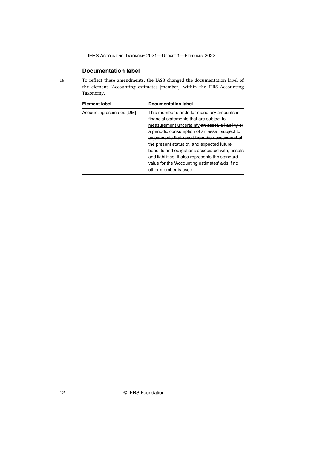# **Documentation label**

<span id="page-12-0"></span>19

To reflect these amendments, the IASB changed the documentation label of the element 'Accounting estimates [member]' within the IFRS Accounting Taxonomy.

| Element label             | <b>Documentation label</b>                       |
|---------------------------|--------------------------------------------------|
| Accounting estimates [DM] | This member stands for monetary amounts in       |
|                           | financial statements that are subject to         |
|                           | measurement uncertainty an asset, a liability or |
|                           | a periodic consumption of an asset, subject to   |
|                           | adjustments that result from the assessment of   |
|                           | the present status of, and expected future       |
|                           | benefits and obligations associated with, assets |
|                           | and liabilities. It also represents the standard |
|                           | value for the 'Accounting estimates' axis if no  |
|                           | other member is used.                            |

12 © IFRS Foundation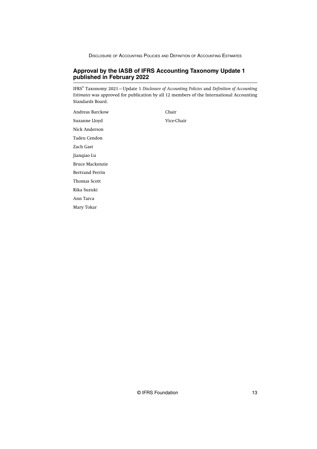# <span id="page-13-0"></span>**Approval by the IASB of IFRS Accounting Taxonomy Update 1 published in February 2022**

IFRS® Taxonomy 2021—Update 1 *Disclosure of Accounting Policies* and *Definition of Accounting Estimates* was approved for publication by all 12 members of the International Accounting Standards Board.

Andreas Barckow Chair Suzanne Lloyd Vice-Chair Nick Anderson Tadeu Cendon Zach Gast Jianqiao Lu Bruce Mackenzie Bertrand Perrin Thomas Scott Rika Suzuki Ann Tarca Mary Tokar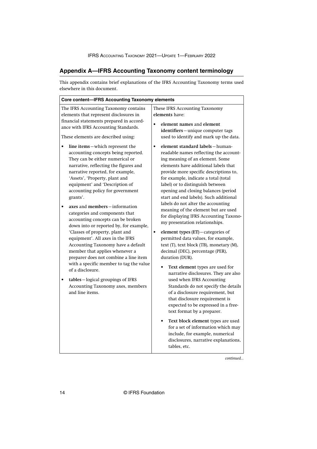# <span id="page-14-0"></span>**Appendix A—IFRS Accounting Taxonomy content terminology**

This appendix contains brief explanations of the IFRS Accounting Taxonomy terms used elsewhere in this document.

| The IFRS Accounting Taxonomy contains<br>These IFRS Accounting Taxonomy<br>elements that represent disclosures in<br>elements have:<br>financial statements prepared in accord-<br>element names and element<br>ance with IFRS Accounting Standards.<br>identifiers-unique computer tags<br>used to identify and mark up the data.<br>These elements are described using:<br>element standard labels-human-<br>line items-which represent the<br>$\bullet$<br>readable names reflecting the account-<br>accounting concepts being reported.<br>They can be either numerical or<br>ing meaning of an element. Some<br>elements have additional labels that<br>narrative, reflecting the figures and<br>narrative reported, for example,<br>provide more specific descriptions to,<br>'Assets', 'Property, plant and<br>for example, indicate a total (total<br>equipment' and 'Description of<br>label) or to distinguish between<br>accounting policy for government<br>opening and closing balances (period<br>start and end labels). Such additional<br>grants'.<br>labels do not alter the accounting<br>axes and members-information<br>meaning of the element but are used<br>categories and components that<br>for displaying IFRS Accounting Taxono-<br>accounting concepts can be broken<br>my presentation relationships.<br>down into or reported by, for example,<br>'Classes of property, plant and<br>element types (ET)-categories of<br>$\bullet$<br>equipment'. All axes in the IFRS<br>permitted data values, for example,<br>text (T), text block (TB), monetary (M),<br>Accounting Taxonomy have a default<br>member that applies whenever a<br>decimal (DEC), percentage (PER),<br>preparer does not combine a line item<br>duration (DUR).<br>with a specific member to tag the value<br>Text element types are used for<br>of a disclosure.<br>narrative disclosures. They are also<br>used when IFRS Accounting<br>tables-logical groupings of IFRS<br>Accounting Taxonomy axes, members<br>Standards do not specify the details<br>and line items.<br>of a disclosure requirement, but<br>that disclosure requirement is<br>expected to be expressed in a free-<br>text format by a preparer.<br>Text block element types are used<br>for a set of information which may<br>include, for example, numerical<br>disclosures, narrative explanations,<br>tables, etc. | Core content-IFRS Accounting Taxonomy elements |  |  |  |
|---------------------------------------------------------------------------------------------------------------------------------------------------------------------------------------------------------------------------------------------------------------------------------------------------------------------------------------------------------------------------------------------------------------------------------------------------------------------------------------------------------------------------------------------------------------------------------------------------------------------------------------------------------------------------------------------------------------------------------------------------------------------------------------------------------------------------------------------------------------------------------------------------------------------------------------------------------------------------------------------------------------------------------------------------------------------------------------------------------------------------------------------------------------------------------------------------------------------------------------------------------------------------------------------------------------------------------------------------------------------------------------------------------------------------------------------------------------------------------------------------------------------------------------------------------------------------------------------------------------------------------------------------------------------------------------------------------------------------------------------------------------------------------------------------------------------------------------------------------------------------------------------------------------------------------------------------------------------------------------------------------------------------------------------------------------------------------------------------------------------------------------------------------------------------------------------------------------------------------------------------------------------------------------------------------------------------------------------------------------------------------------------|------------------------------------------------|--|--|--|
|                                                                                                                                                                                                                                                                                                                                                                                                                                                                                                                                                                                                                                                                                                                                                                                                                                                                                                                                                                                                                                                                                                                                                                                                                                                                                                                                                                                                                                                                                                                                                                                                                                                                                                                                                                                                                                                                                                                                                                                                                                                                                                                                                                                                                                                                                                                                                                                             |                                                |  |  |  |
|                                                                                                                                                                                                                                                                                                                                                                                                                                                                                                                                                                                                                                                                                                                                                                                                                                                                                                                                                                                                                                                                                                                                                                                                                                                                                                                                                                                                                                                                                                                                                                                                                                                                                                                                                                                                                                                                                                                                                                                                                                                                                                                                                                                                                                                                                                                                                                                             |                                                |  |  |  |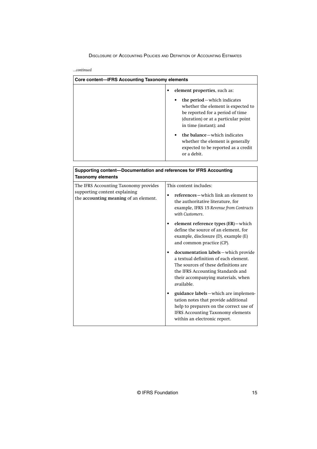*...continued*

| Core content—IFRS Accounting Taxonomy elements |                                                                                                                                                                                                                                                                                                         |  |  |
|------------------------------------------------|---------------------------------------------------------------------------------------------------------------------------------------------------------------------------------------------------------------------------------------------------------------------------------------------------------|--|--|
|                                                | element properties, such as:                                                                                                                                                                                                                                                                            |  |  |
|                                                | the period – which indicates<br>٠<br>whether the element is expected to<br>be reported for a period of time<br>(duration) or at a particular point<br>in time (instant); and<br>the balance – which indicates<br>whether the element is generally<br>expected to be reported as a credit<br>or a debit. |  |  |

| Supporting content--Documentation and references for IFRS Accounting<br><b>Taxonomy elements</b>                |                                                                                                                                                                                                                                                                                                                                                                                                                                                                                                                                                                                                                                                                                                                                                     |
|-----------------------------------------------------------------------------------------------------------------|-----------------------------------------------------------------------------------------------------------------------------------------------------------------------------------------------------------------------------------------------------------------------------------------------------------------------------------------------------------------------------------------------------------------------------------------------------------------------------------------------------------------------------------------------------------------------------------------------------------------------------------------------------------------------------------------------------------------------------------------------------|
| The IFRS Accounting Taxonomy provides<br>supporting content explaining<br>the accounting meaning of an element. | This content includes:<br>references – which link an element to<br>$\bullet$<br>the authoritative literature, for<br>example, IFRS 15 Revenue from Contracts<br>with Customers.<br>element reference types (ER)-which<br>define the source of an element, for<br>example, disclosure (D), example (E)<br>and common practice (CP).<br>documentation labels-which provide<br>a textual definition of each element.<br>The sources of these definitions are<br>the IFRS Accounting Standards and<br>their accompanying materials, when<br>available.<br>guidance labels - which are implemen-<br>tation notes that provide additional<br>help to preparers on the correct use of<br>IFRS Accounting Taxonomy elements<br>within an electronic report. |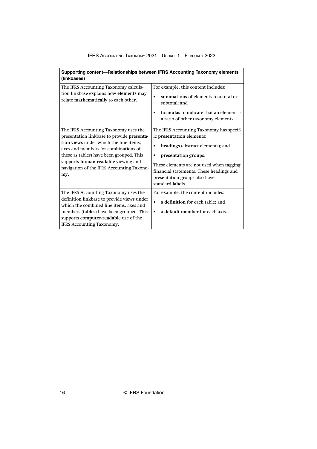| Supporting content-Relationships between IFRS Accounting Taxonomy elements<br>(linkbases)                                                                                                                                                                                                                    |                                                                                                                                                                                                                                                                                              |
|--------------------------------------------------------------------------------------------------------------------------------------------------------------------------------------------------------------------------------------------------------------------------------------------------------------|----------------------------------------------------------------------------------------------------------------------------------------------------------------------------------------------------------------------------------------------------------------------------------------------|
| The IFRS Accounting Taxonomy calcula-<br>tion linkbase explains how elements may<br>relate mathematically to each other.                                                                                                                                                                                     | For example, this content includes:<br>summations of elements to a total or<br>subtotal: and<br>formulas to indicate that an element is<br>a ratio of other taxonomy elements.                                                                                                               |
| The IFRS Accounting Taxonomy uses the<br>presentation linkbase to provide presenta-<br>tion views under which the line items.<br>axes and members (or combinations of<br>these as tables) have been grouped. This<br>supports human-readable viewing and<br>navigation of the IFRS Accounting Taxono-<br>my. | The IFRS Accounting Taxonomy has specif-<br>ic presentation elements:<br>headings (abstract elements); and<br>$\bullet$<br>presentation groups.<br>These elements are not used when tagging<br>financial statements. These headings and<br>presentation groups also have<br>standard labels. |
| The IFRS Accounting Taxonomy uses the<br>definition linkbase to provide views under<br>which the combined line items, axes and<br>members (tables) have been grouped. This<br>supports computer-readable use of the<br>IFRS Accounting Taxonomy.                                                             | For example, the content includes:<br>a definition for each table; and<br>a default member for each axis.<br>٠                                                                                                                                                                               |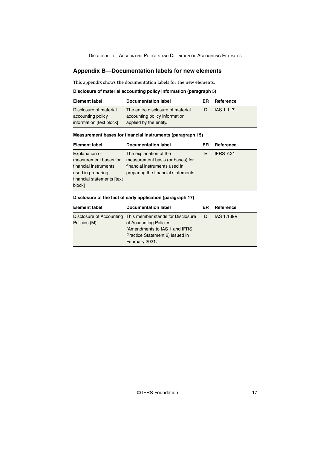## <span id="page-17-0"></span>**Appendix B—Documentation labels for new elements**

This appendix shows the documentation labels for the new elements.

#### **Disclosure of material accounting policy information (paragraph 5)**

| <b>Element label</b>     | Documentation label               | ER | Reference |
|--------------------------|-----------------------------------|----|-----------|
| Disclosure of material   | The entire disclosure of material | D  | IAS 1.117 |
| accounting policy        | accounting policy information     |    |           |
| information [text block] | applied by the entity.            |    |           |

#### **Measurement bases for financial instruments (paragraph 15)**

| <b>Element label</b>       | <b>Documentation label</b>          | ER | Reference        |
|----------------------------|-------------------------------------|----|------------------|
| <b>Explanation of</b>      | The explanation of the              | F  | <b>IFRS 7.21</b> |
| measurement bases for      | measurement basis (or bases) for    |    |                  |
| financial instruments      | financial instruments used in       |    |                  |
| used in preparing          | preparing the financial statements. |    |                  |
| financial statements [text |                                     |    |                  |
| block]                     |                                     |    |                  |

#### **Disclosure of the fact of early application (paragraph 17)**

| <b>Element label</b> | <b>Documentation label</b>                                   | ER | Reference         |
|----------------------|--------------------------------------------------------------|----|-------------------|
|                      | Disclosure of Accounting This member stands for Disclosure D |    | <b>IAS 1.139V</b> |
| Policies (M)         | of Accounting Policies                                       |    |                   |
|                      | (Amendments to IAS 1 and IFRS)                               |    |                   |
|                      | Practice Statement 2) issued in                              |    |                   |
|                      | February 2021.                                               |    |                   |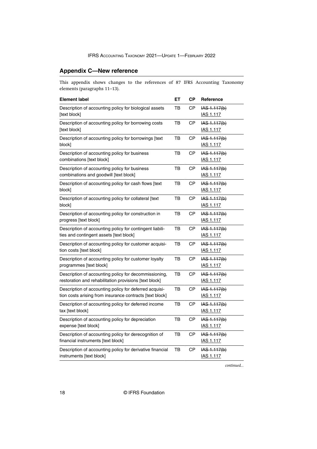# <span id="page-18-0"></span>**Appendix C—New reference**

This appendix shows changes to the references of 87 IFRS Accounting Taxonomy elements (paragraphs 11–13).

| <b>Element label</b>                                                                                               | ET | <b>CP</b> | Reference                                    |
|--------------------------------------------------------------------------------------------------------------------|----|-----------|----------------------------------------------|
| Description of accounting policy for biological assets<br>[text block]                                             |    | СP        | $\overline{AS}$ 1.117(b)<br><b>IAS 1.117</b> |
| Description of accounting policy for borrowing costs<br>[text block]                                               | тв | СP        | AS 1.117(b) <br><b>IAS 1.117</b>             |
| Description of accounting policy for borrowings [text<br>block]                                                    | TB | CP        | IAS 1.117(b)<br><b>IAS 1.117</b>             |
| Description of accounting policy for business<br>combinations [text block]                                         | тв | СP        | $HAS - 1.117(b)$<br><b>IAS 1.117</b>         |
| Description of accounting policy for business<br>combinations and goodwill [text block]                            | ТB | CP        | $1AS + 117(b)$<br>IAS 1.117                  |
| Description of accounting policy for cash flows [text]<br>block]                                                   | TB | CP        | IAS 1.117(b)<br><b>IAS 1.117</b>             |
| Description of accounting policy for collateral [text<br>block]                                                    | тв | СP        | <del>IAS 1.117(b)</del><br><b>IAS 1.117</b>  |
| Description of accounting policy for construction in<br>progress [text block]                                      | ТB | CP        | AS 1.117(b) <br><b>IAS 1.117</b>             |
| Description of accounting policy for contingent liabili-<br>ties and contingent assets [text block]                | ТB | СP        | <del>IAS 1.117(b)</del><br><b>IAS 1.117</b>  |
| Description of accounting policy for customer acquisi-<br>tion costs [text block]                                  | TB | CP        | IAS 1.117(b)<br><b>IAS 1.117</b>             |
| Description of accounting policy for customer loyalty<br>programmes [text block]                                   | тв | СP        | $HAS$ 1.117(b)<br>IAS 1.117                  |
| Description of accounting policy for decommissioning,<br>restoration and rehabilitation provisions [text block]    | TВ | СP        | $HAS - 1.117(b)$<br>IAS 1.117                |
| Description of accounting policy for deferred acquisi-<br>tion costs arising from insurance contracts [text block] |    | СP        | <del>IAS 1.117(b)</del><br>IAS 1.117         |
| Description of accounting policy for deferred income<br>tax [text block]                                           |    | CP        | AS 1.117(b) <br><b>IAS 1.117</b>             |
| Description of accounting policy for depreciation<br>expense [text block]                                          | тв | СP        | $\overline{AS}$ 1.117(b)<br><b>IAS 1.117</b> |
| Description of accounting policy for derecognition of<br>financial instruments [text block]                        | тв | СP        | IAS 1.117(b)<br>IAS 1.117                    |
| Description of accounting policy for derivative financial<br>instruments [text block]                              | TВ | СP        | IAS 1.117(b)<br><b>IAS 1.117</b>             |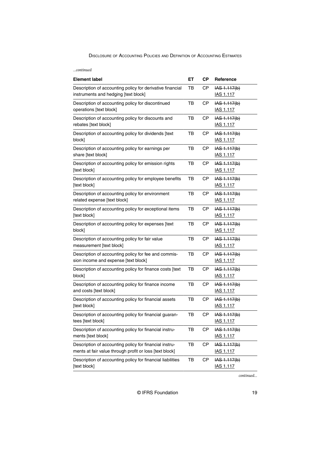*...continued*

| <b>Element label</b>                                                                                              | EТ | <b>CP</b> | Reference                        |
|-------------------------------------------------------------------------------------------------------------------|----|-----------|----------------------------------|
| Description of accounting policy for derivative financial<br>instruments and hedging [text block]                 | тв | CP        | $HAS$ 1.117(b)<br>IAS 1.117      |
| Description of accounting policy for discontinued<br>operations [text block]                                      | тв | <b>CP</b> | IAS 1.117(b)<br><b>IAS 1.117</b> |
| Description of accounting policy for discounts and<br>rebates [text block]                                        | тв | <b>CP</b> | IAS 1.117(b)<br><b>IAS 1.117</b> |
| Description of accounting policy for dividends [text<br>block]                                                    | тв | СP        | IAS 1.117(b)<br><b>IAS 1.117</b> |
| Description of accounting policy for earnings per<br>share [text block]                                           | тв | <b>CP</b> | IAS 1.117(b)<br><b>IAS 1.117</b> |
| Description of accounting policy for emission rights<br>[text block]                                              | тв | СP        | IAS 1.117(b)<br><b>IAS 1.117</b> |
| Description of accounting policy for employee benefits<br>[text block]                                            | тв | СP        | IAS 1.117(b)<br><u>IAS 1.117</u> |
| Description of accounting policy for environment<br>related expense [text block]                                  | тв | <b>CP</b> | IAS 1.117(b)<br><b>IAS 1.117</b> |
| Description of accounting policy for exceptional items<br>[text block]                                            | TB | <b>CP</b> | IAS 1.117(b)<br>IAS 1.117        |
| Description of accounting policy for expenses [text<br>block]                                                     | тв | СP        | IAS 1.117(b)<br><b>IAS 1.117</b> |
| Description of accounting policy for fair value<br>measurement [text block]                                       | TB | <b>CP</b> | IAS 1.117(b)<br><u>IAS 1.117</u> |
| Description of accounting policy for fee and commis-<br>sion income and expense [text block]                      | тв | <b>CP</b> | IAS 1.117(b)<br><b>IAS 1.117</b> |
| Description of accounting policy for finance costs [text<br>block]                                                | тв | СP        | IAS 1.117(b)<br><u>IAS 1.117</u> |
| Description of accounting policy for finance income<br>and costs [text block]                                     | TB | СP        | IAS 1.117(b)<br><b>IAS 1.117</b> |
| Description of accounting policy for financial assets<br>[text block]                                             | тв | СP        | IAS 1.117(b)<br><b>IAS 1.117</b> |
| Description of accounting policy for financial guaran-<br>tees [text block]                                       | ТB | CP        | IAS 1.117(b)<br><b>IAS 1.117</b> |
| Description of accounting policy for financial instru-<br>ments [text block]                                      | TB | <b>CP</b> | IAS 1.117(b)<br>IAS 1.117        |
| Description of accounting policy for financial instru-<br>ments at fair value through profit or loss [text block] | TB | <b>CP</b> | IAS 1.117(b)<br><b>IAS 1.117</b> |
| Description of accounting policy for financial liabilities<br>[text block]                                        | TB | <b>CP</b> | IAS 1.117(b)<br><b>IAS 1.117</b> |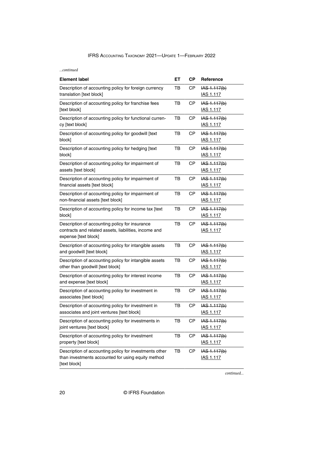*...continued*

| <b>Element label</b>                                                                                                            | EТ | <b>CP</b> | Reference                          |
|---------------------------------------------------------------------------------------------------------------------------------|----|-----------|------------------------------------|
| Description of accounting policy for foreign currency<br>translation [text block]                                               | ΤВ | СP        | $HAS$ 1.117(b)<br>IAS 1.117        |
| Description of accounting policy for franchise fees<br>[text block]                                                             | TB | <b>CP</b> | IAS 1.117(b)<br><b>IAS 1.117</b>   |
| Description of accounting policy for functional curren-<br>cy [text block]                                                      | ΤВ | СP        | IAS 1.117(b)<br><u>IAS 1.117</u>   |
| Description of accounting policy for goodwill [text<br>block]                                                                   | тв | СP        | IAS 1.117(b)<br><b>IAS 1.117</b>   |
| Description of accounting policy for hedging [text<br>block]                                                                    | тв | <b>CP</b> | IAS 1.117(b)<br><b>IAS 1.117</b>   |
| Description of accounting policy for impairment of<br>assets [text block]                                                       | тв | СP        | IAS 1.117(b)<br><b>IAS 1.117</b>   |
| Description of accounting policy for impairment of<br>financial assets [text block]                                             | TB | СP        | IAS 1.117(b)<br><u>IAS 1.117</u>   |
| Description of accounting policy for impairment of<br>non-financial assets [text block]                                         |    | <b>CP</b> | IAS 1.117(b)<br><b>IAS 1.117</b>   |
| Description of accounting policy for income tax [text<br>block]                                                                 |    | <b>CP</b> | IAS 1.117(b)<br><u>IAS 1.117</u>   |
| Description of accounting policy for insurance<br>contracts and related assets, liabilities, income and<br>expense [text block] |    | СP        | IAS 1.117(b)<br><b>IAS 1.117</b>   |
| Description of accounting policy for intangible assets<br>and goodwill [text block]                                             |    | СP        | $HAS$ 1.117(b)<br><b>IAS 1.117</b> |
| Description of accounting policy for intangible assets<br>other than goodwill [text block]                                      |    | <b>CP</b> | IAS 1.117(b)<br><b>IAS 1.117</b>   |
| Description of accounting policy for interest income<br>and expense [text block]                                                |    | СP        | $HAS$ 1.117(b)<br><b>IAS 1.117</b> |
| Description of accounting policy for investment in<br>associates [text block]                                                   |    | <b>CP</b> | IAS 1.117(b)<br><b>IAS 1.117</b>   |
| Description of accounting policy for investment in<br>associates and joint ventures [text block]                                |    | СP        | $HAS$ 1.117(b)<br><b>IAS 1.117</b> |
| Description of accounting policy for investments in<br>joint ventures [text block]                                              |    | <b>CP</b> | IAS 1.117(b)<br><b>IAS 1.117</b>   |
| Description of accounting policy for investment<br>property [text block]                                                        | TB | <b>CP</b> | $HAS$ 1.117(b)<br><b>IAS 1.117</b> |
| Description of accounting policy for investments other<br>than investments accounted for using equity method<br>[text block]    |    | <b>CP</b> | IAS 1.117(b)<br><b>IAS 1.117</b>   |

*continued...*

20 © IFRS Foundation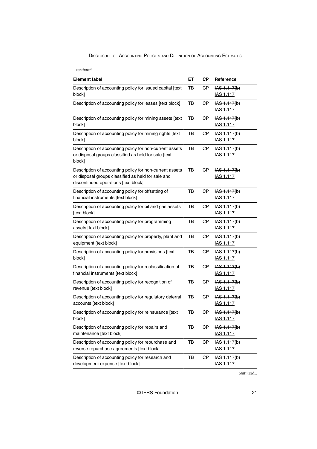*...continued*

| <b>Element label</b>                                                                                                                                  | EТ | <b>CP</b> | Reference                                    |
|-------------------------------------------------------------------------------------------------------------------------------------------------------|----|-----------|----------------------------------------------|
| Description of accounting policy for issued capital [text<br>block]                                                                                   | тв | <b>CP</b> | IAS 1.117(b)<br>IAS 1.117                    |
| Description of accounting policy for leases [text block]                                                                                              | TB | <b>CP</b> | IAS 1.117(b)<br><b>IAS 1.117</b>             |
| Description of accounting policy for mining assets [text<br>block]                                                                                    | TB | <b>CP</b> | IAS 1.117(b)<br><b>IAS 1.117</b>             |
| Description of accounting policy for mining rights [text<br>block]                                                                                    | тв | СP        | IAS 1.117(b)<br><b>IAS 1.117</b>             |
| Description of accounting policy for non-current assets<br>or disposal groups classified as held for sale [text<br>block]                             | тв | СP        | IAS 1.117(b)<br><u>IAS 1.117</u>             |
| Description of accounting policy for non-current assets<br>or disposal groups classified as held for sale and<br>discontinued operations [text block] | TB | <b>CP</b> | IAS 1.117(b)<br><b>IAS 1.117</b>             |
| Description of accounting policy for offsetting of<br>financial instruments [text block]                                                              | тв | <b>CP</b> | IAS 1.117(b)<br><b>IAS 1.117</b>             |
| Description of accounting policy for oil and gas assets<br>[text block]                                                                               | TB | <b>CP</b> | IAS 1.117(b)<br><u>IAS 1.117</u>             |
| Description of accounting policy for programming<br>assets [text block]                                                                               | TB | <b>CP</b> | IAS 1.117(b)<br><b>IAS 1.117</b>             |
| Description of accounting policy for property, plant and<br>equipment [text block]                                                                    | TB | <b>CP</b> | IAS 1.117(b)<br><b>IAS 1.117</b>             |
| Description of accounting policy for provisions [text<br>block]                                                                                       | тв | <b>CP</b> | IAS 1.117(b)<br><b>IAS 1.117</b>             |
| Description of accounting policy for reclassification of<br>financial instruments [text block]                                                        | тв | СP        | IAS 1.117(b)<br><b>IAS 1.117</b>             |
| Description of accounting policy for recognition of<br>revenue [text block]                                                                           | TB | <b>CP</b> | IAS 1.117(b)<br><b>IAS 1.117</b>             |
| Description of accounting policy for regulatory deferral<br>accounts [text block]                                                                     | TB | СP        | IAS 1.117(b)<br><u>IAS 1.117</u>             |
| Description of accounting policy for reinsurance [text<br>block]                                                                                      | ТB | CP        | IAS 1.117(b)<br><b>IAS 1.117</b>             |
| Description of accounting policy for repairs and<br>maintenance [text block]                                                                          | TB | <b>CP</b> | IAS 1.117(b)<br>IAS 1.117                    |
| Description of accounting policy for repurchase and<br>reverse repurchase agreements [text block]                                                     | TB | <b>CP</b> | HAS 1.117(b)<br><b>IAS 1.117</b>             |
| Description of accounting policy for research and<br>development expense [text block]                                                                 | TВ | <b>CP</b> | $\overline{AS}$ 1.117(b)<br><b>IAS 1.117</b> |

*continued...*

© IFRS Foundation 21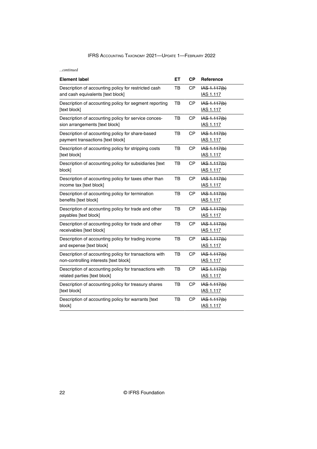*...continued*

| <b>Element label</b>                                                                             | EΤ | <b>CP</b> | Reference                          |
|--------------------------------------------------------------------------------------------------|----|-----------|------------------------------------|
| Description of accounting policy for restricted cash<br>and cash equivalents [text block]        | тв | <b>CP</b> | IAS 1.117(b)<br><b>IAS 1.117</b>   |
| Description of accounting policy for segment reporting<br>[text block]                           | TB | <b>CP</b> | IAS 1.117(b)<br><b>IAS 1.117</b>   |
| Description of accounting policy for service conces-<br>sion arrangements [text block]           | TB | СP        | IAS 1.117(b)<br><b>IAS 1.117</b>   |
| Description of accounting policy for share-based<br>payment transactions [text block]            | TB | СP        | IAS 1.117(b)<br><b>IAS 1.117</b>   |
| Description of accounting policy for stripping costs<br>[text block]                             | TB | CP        | IAS 1.117(b)<br><b>IAS 1.117</b>   |
| Description of accounting policy for subsidiaries [text<br>block]                                | TB | <b>CP</b> | IAS 1.117(b)<br><b>IAS 1.117</b>   |
| Description of accounting policy for taxes other than<br>income tax [text block]                 | TB | CP        | $HAS$ 1.117(b)<br><b>IAS 1.117</b> |
| Description of accounting policy for termination<br>benefits [text block]                        | TB | CP        | IAS 1.117(b)<br>IAS 1.117          |
| Description of accounting policy for trade and other<br>payables [text block]                    | TB | СP        | IAS 1.117(b)<br><b>IAS 1.117</b>   |
| Description of accounting policy for trade and other<br>receivables [text block]                 | TB | CP        | IAS 1.117(b)<br><b>IAS 1.117</b>   |
| Description of accounting policy for trading income<br>and expense [text block]                  | TB | <b>CP</b> | $HAS$ 1.117(b)<br><b>IAS 1.117</b> |
| Description of accounting policy for transactions with<br>non-controlling interests [text block] | TB | <b>CP</b> | IAS 1.117(b)<br><b>IAS 1.117</b>   |
| Description of accounting policy for transactions with<br>related parties [text block]           | TB | <b>CP</b> | IAS 1.117(b)<br><b>IAS 1.117</b>   |
| Description of accounting policy for treasury shares<br>[text block]                             | TB | CP        | IAS 1.117(b)<br><b>IAS 1.117</b>   |
| Description of accounting policy for warrants [text<br>block]                                    | TB | <b>CP</b> | $HAS$ 1.117(b)<br><b>IAS 1.117</b> |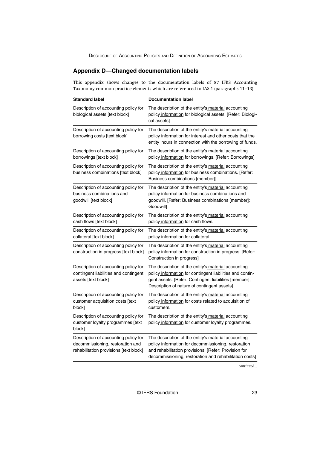# <span id="page-23-0"></span>**Appendix D—Changed documentation labels**

This appendix shows changes to the documentation labels of 87 IFRS Accounting Taxonomy common practice elements which are referenced to IAS 1 (paragraphs 11–13).

| <b>Standard label</b>                                                                                              | <b>Documentation label</b>                                                                                                                                                                                                   |
|--------------------------------------------------------------------------------------------------------------------|------------------------------------------------------------------------------------------------------------------------------------------------------------------------------------------------------------------------------|
| Description of accounting policy for<br>biological assets [text block]                                             | The description of the entity's material accounting<br>policy information for biological assets. [Refer: Biologi-<br>cal assets]                                                                                             |
| Description of accounting policy for<br>borrowing costs [text block]                                               | The description of the entity's material accounting<br>policy information for interest and other costs that the<br>entity incurs in connection with the borrowing of funds.                                                  |
| Description of accounting policy for<br>borrowings [text block]                                                    | The description of the entity's material accounting<br>policy information for borrowings. [Refer: Borrowings]                                                                                                                |
| Description of accounting policy for<br>business combinations [text block]                                         | The description of the entity's material accounting<br>policy information for business combinations. [Refer:<br>Business combinations [member]]                                                                              |
| Description of accounting policy for<br>business combinations and<br>goodwill [text block]                         | The description of the entity's material accounting<br>policy information for business combinations and<br>goodwill. [Refer: Business combinations [member];<br>Goodwill]                                                    |
| Description of accounting policy for<br>cash flows [text block]                                                    | The description of the entity's material accounting<br>policy information for cash flows.                                                                                                                                    |
| Description of accounting policy for<br>collateral [text block]                                                    | The description of the entity's material accounting<br>policy information for collateral.                                                                                                                                    |
| Description of accounting policy for<br>construction in progress [text block]                                      | The description of the entity's material accounting<br>policy information for construction in progress. [Refer:<br>Construction in progress]                                                                                 |
| Description of accounting policy for<br>contingent liabilities and contingent<br>assets [text block]               | The description of the entity's material accounting<br>policy information for contingent liabilities and contin-<br>gent assets. [Refer: Contingent liabilities [member];<br>Description of nature of contingent assets]     |
| Description of accounting policy for<br>customer acquisition costs [text<br>block]                                 | The description of the entity's material accounting<br>policy information for costs related to acquisition of<br>customers.                                                                                                  |
| Description of accounting policy for<br>customer loyalty programmes [text<br>block]                                | The description of the entity's material accounting<br>policy information for customer loyalty programmes.                                                                                                                   |
| Description of accounting policy for<br>decommissioning, restoration and<br>rehabilitation provisions [text block] | The description of the entity's material accounting<br>policy information for decommissioning, restoration<br>and rehabilitation provisions. [Refer: Provision for<br>decommissioning, restoration and rehabilitation costs] |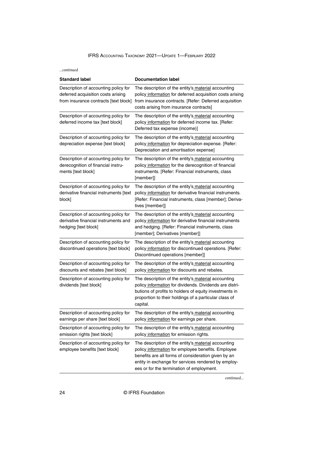#### *...continued*

| <b>Standard label</b>                                                                                               | <b>Documentation label</b>                                                                                                                                                                                                                                           |
|---------------------------------------------------------------------------------------------------------------------|----------------------------------------------------------------------------------------------------------------------------------------------------------------------------------------------------------------------------------------------------------------------|
| Description of accounting policy for<br>deferred acquisition costs arising<br>from insurance contracts [text block] | The description of the entity's material accounting<br>policy information for deferred acquisition costs arising<br>from insurance contracts. [Refer: Deferred acquisition<br>costs arising from insurance contracts]                                                |
| Description of accounting policy for<br>deferred income tax [text block]                                            | The description of the entity's material accounting<br>policy information for deferred income tax. [Refer:<br>Deferred tax expense (income)]                                                                                                                         |
| Description of accounting policy for<br>depreciation expense [text block]                                           | The description of the entity's material accounting<br>policy information for depreciation expense. [Refer:<br>Depreciation and amortisation expense]                                                                                                                |
| Description of accounting policy for<br>derecognition of financial instru-<br>ments [text block]                    | The description of the entity's material accounting<br>policy information for the derecognition of financial<br>instruments. [Refer: Financial instruments, class<br>[member]]                                                                                       |
| Description of accounting policy for<br>derivative financial instruments [text<br>block]                            | The description of the entity's material accounting<br>policy information for derivative financial instruments.<br>[Refer: Financial instruments, class [member]; Deriva-<br>tives [member]]                                                                         |
| Description of accounting policy for<br>derivative financial instruments and<br>hedging [text block]                | The description of the entity's material accounting<br>policy information for derivative financial instruments<br>and hedging. [Refer: Financial instruments, class<br>[member]; Derivatives [member]]                                                               |
| Description of accounting policy for<br>discontinued operations [text block]                                        | The description of the entity's material accounting<br>policy information for discontinued operations. [Refer:<br>Discontinued operations [member]]                                                                                                                  |
| Description of accounting policy for<br>discounts and rebates [text block]                                          | The description of the entity's material accounting<br>policy information for discounts and rebates.                                                                                                                                                                 |
| Description of accounting policy for<br>dividends [text block]                                                      | The description of the entity's material accounting<br>policy information for dividends. Dividends are distri-<br>butions of profits to holders of equity investments in<br>proportion to their holdings of a particular class of<br>capital.                        |
| Description of accounting policy for<br>earnings per share [text block]                                             | The description of the entity's material accounting<br>policy information for earnings per share.                                                                                                                                                                    |
| Description of accounting policy for<br>emission rights [text block]                                                | The description of the entity's material accounting<br>policy information for emission rights.                                                                                                                                                                       |
| Description of accounting policy for<br>employee benefits [text block]                                              | The description of the entity's material accounting<br>policy information for employee benefits. Employee<br>benefits are all forms of consideration given by an<br>entity in exchange for services rendered by employ-<br>ees or for the termination of employment. |

*continued...*

24 © IFRS Foundation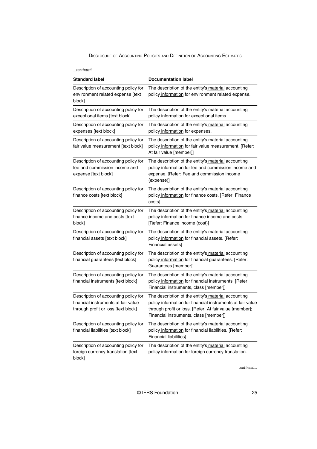| …continued                                                                                                         |                                                                                                                                                                                                                        |
|--------------------------------------------------------------------------------------------------------------------|------------------------------------------------------------------------------------------------------------------------------------------------------------------------------------------------------------------------|
| <b>Standard label</b>                                                                                              | <b>Documentation label</b>                                                                                                                                                                                             |
| Description of accounting policy for<br>environment related expense [text<br>block]                                | The description of the entity's material accounting<br>policy information for environment related expense.                                                                                                             |
| Description of accounting policy for<br>exceptional items [text block]                                             | The description of the entity's material accounting<br>policy information for exceptional items.                                                                                                                       |
| Description of accounting policy for<br>expenses [text block]                                                      | The description of the entity's material accounting<br>policy information for expenses.                                                                                                                                |
| Description of accounting policy for<br>fair value measurement [text block]                                        | The description of the entity's material accounting<br>policy information for fair value measurement. [Refer:<br>At fair value [member]]                                                                               |
| Description of accounting policy for<br>fee and commission income and<br>expense [text block]                      | The description of the entity's material accounting<br>policy information for fee and commission income and<br>expense. [Refer: Fee and commission income<br>(expense)]                                                |
| Description of accounting policy for<br>finance costs [text block]                                                 | The description of the entity's material accounting<br>policy information for finance costs. [Refer: Finance<br>costs]                                                                                                 |
| Description of accounting policy for<br>finance income and costs [text<br>block]                                   | The description of the entity's material accounting<br>policy information for finance income and costs.<br>[Refer: Finance income (cost)]                                                                              |
| Description of accounting policy for<br>financial assets [text block]                                              | The description of the entity's material accounting<br>policy information for financial assets. [Refer:<br>Financial assets]                                                                                           |
| Description of accounting policy for<br>financial guarantees [text block]                                          | The description of the entity's material accounting<br>policy information for financial guarantees. [Refer:<br>Guarantees [member]]                                                                                    |
| Description of accounting policy for<br>financial instruments [text block]                                         | The description of the entity's material accounting<br>policy information for financial instruments. [Refer:<br>Financial instruments, class [member]]                                                                 |
| Description of accounting policy for<br>financial instruments at fair value<br>through profit or loss [text block] | The description of the entity's material accounting<br>policy information for financial instruments at fair value<br>through profit or loss. [Refer: At fair value [member];<br>Financial instruments, class [member]] |
| Description of accounting policy for<br>financial liabilities [text block]                                         | The description of the entity's material accounting<br>policy information for financial liabilities. [Refer:<br><b>Financial liabilities]</b>                                                                          |
| Description of accounting policy for<br>foreign currency translation [text<br>block]                               | The description of the entity's material accounting<br>policy information for foreign currency translation.                                                                                                            |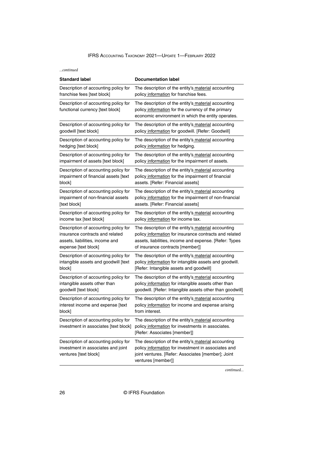*...continued*

| <b>Standard label</b>                                                                               | <b>Documentation label</b>                                                                                                                                                             |
|-----------------------------------------------------------------------------------------------------|----------------------------------------------------------------------------------------------------------------------------------------------------------------------------------------|
| Description of accounting policy for                                                                | The description of the entity's material accounting                                                                                                                                    |
| franchise fees [text block]                                                                         | policy information for franchise fees.                                                                                                                                                 |
| Description of accounting policy for<br>functional currency [text block]                            | The description of the entity's material accounting<br>policy information for the currency of the primary<br>economic environment in which the entity operates.                        |
| Description of accounting policy for                                                                | The description of the entity's material accounting                                                                                                                                    |
| goodwill [text block]                                                                               | policy information for goodwill. [Refer: Goodwill]                                                                                                                                     |
| Description of accounting policy for                                                                | The description of the entity's material accounting                                                                                                                                    |
| hedging [text block]                                                                                | policy information for hedging.                                                                                                                                                        |
| Description of accounting policy for                                                                | The description of the entity's material accounting                                                                                                                                    |
| impairment of assets [text block]                                                                   | policy information for the impairment of assets.                                                                                                                                       |
| Description of accounting policy for                                                                | The description of the entity's material accounting                                                                                                                                    |
| impairment of financial assets [text                                                                | policy information for the impairment of financial                                                                                                                                     |
| block]                                                                                              | assets. [Refer: Financial assets]                                                                                                                                                      |
| Description of accounting policy for                                                                | The description of the entity's material accounting                                                                                                                                    |
| impairment of non-financial assets                                                                  | policy information for the impairment of non-financial                                                                                                                                 |
| [text block]                                                                                        | assets. [Refer: Financial assets]                                                                                                                                                      |
| Description of accounting policy for                                                                | The description of the entity's material accounting                                                                                                                                    |
| income tax [text block]                                                                             | policy information for income tax.                                                                                                                                                     |
| Description of accounting policy for                                                                | The description of the entity's material accounting                                                                                                                                    |
| insurance contracts and related                                                                     | policy information for insurance contracts and related                                                                                                                                 |
| assets, liabilities, income and                                                                     | assets, liabilities, income and expense. [Refer: Types                                                                                                                                 |
| expense [text block]                                                                                | of insurance contracts [member]]                                                                                                                                                       |
| Description of accounting policy for                                                                | The description of the entity's material accounting                                                                                                                                    |
| intangible assets and goodwill [text                                                                | policy information for intangible assets and goodwill.                                                                                                                                 |
| block]                                                                                              | [Refer: Intangible assets and goodwill]                                                                                                                                                |
| Description of accounting policy for                                                                | The description of the entity's material accounting                                                                                                                                    |
| intangible assets other than                                                                        | policy information for intangible assets other than                                                                                                                                    |
| goodwill [text block]                                                                               | goodwill. [Refer: Intangible assets other than goodwill]                                                                                                                               |
| Description of accounting policy for                                                                | The description of the entity's material accounting                                                                                                                                    |
| interest income and expense [text                                                                   | policy information for income and expense arising                                                                                                                                      |
| block]                                                                                              | from interest.                                                                                                                                                                         |
| Description of accounting policy for<br>investment in associates [text block]                       | The description of the entity's material accounting<br>policy information for investments in associates.<br>[Refer: Associates [member]]                                               |
| Description of accounting policy for<br>investment in associates and joint<br>ventures [text block] | The description of the entity's material accounting<br>policy information for investment in associates and<br>joint ventures. [Refer: Associates [member]; Joint<br>ventures [member]] |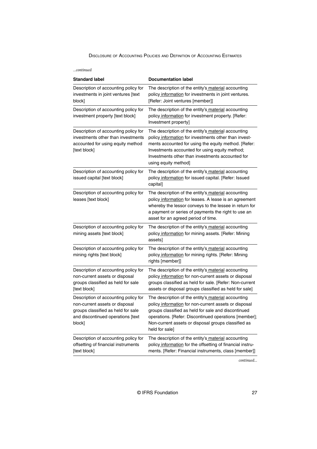| …continued                                                                                                                                                  |                                                                                                                                                                                                                                                                                                       |
|-------------------------------------------------------------------------------------------------------------------------------------------------------------|-------------------------------------------------------------------------------------------------------------------------------------------------------------------------------------------------------------------------------------------------------------------------------------------------------|
| <b>Standard label</b>                                                                                                                                       | <b>Documentation label</b>                                                                                                                                                                                                                                                                            |
| Description of accounting policy for<br>investments in joint ventures [text<br>block]                                                                       | The description of the entity's material accounting<br>policy information for investments in joint ventures.<br>[Refer: Joint ventures [member]]                                                                                                                                                      |
| Description of accounting policy for<br>investment property [text block]                                                                                    | The description of the entity's material accounting<br>policy information for investment property. [Refer:<br>Investment property]                                                                                                                                                                    |
| Description of accounting policy for<br>investments other than investments<br>accounted for using equity method<br>[text block]                             | The description of the entity's material accounting<br>policy information for investments other than invest-<br>ments accounted for using the equity method. [Refer:<br>Investments accounted for using equity method;<br>Investments other than investments accounted for<br>using equity method]    |
| Description of accounting policy for<br>issued capital [text block]                                                                                         | The description of the entity's material accounting<br>policy information for issued capital. [Refer: Issued<br>capital]                                                                                                                                                                              |
| Description of accounting policy for<br>leases [text block]                                                                                                 | The description of the entity's material accounting<br>policy information for leases. A lease is an agreement<br>whereby the lessor conveys to the lessee in return for<br>a payment or series of payments the right to use an<br>asset for an agreed period of time.                                 |
| Description of accounting policy for<br>mining assets [text block]                                                                                          | The description of the entity's material accounting<br>policy information for mining assets. [Refer: Mining<br>assets]                                                                                                                                                                                |
| Description of accounting policy for<br>mining rights [text block]                                                                                          | The description of the entity's material accounting<br>policy information for mining rights. [Refer: Mining<br>rights [member]]                                                                                                                                                                       |
| Description of accounting policy for<br>non-current assets or disposal<br>groups classified as held for sale<br>[text block]                                | The description of the entity's material accounting<br>policy information for non-current assets or disposal<br>groups classified as held for sale. [Refer: Non-current<br>assets or disposal groups classified as held for sale]                                                                     |
| Description of accounting policy for<br>non-current assets or disposal<br>groups classified as held for sale<br>and discontinued operations [text<br>block] | The description of the entity's material accounting<br>policy information for non-current assets or disposal<br>groups classified as held for sale and discontinued<br>operations. [Refer: Discontinued operations [member];<br>Non-current assets or disposal groups classified as<br>held for sale] |
| Description of accounting policy for<br>offsetting of financial instruments<br>[text block]                                                                 | The description of the entity's material accounting<br>policy information for the offsetting of financial instru-<br>ments. [Refer: Financial instruments, class [member]]                                                                                                                            |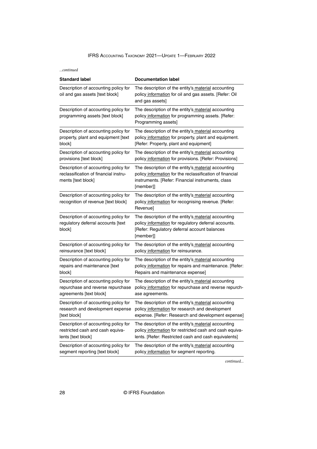*...continued*

| <b>Standard label</b>                                                                               | <b>Documentation label</b>                                                                                                                                                        |
|-----------------------------------------------------------------------------------------------------|-----------------------------------------------------------------------------------------------------------------------------------------------------------------------------------|
| Description of accounting policy for<br>oil and gas assets [text block]                             | The description of the entity's material accounting<br>policy information for oil and gas assets. [Refer: Oil<br>and gas assets]                                                  |
| Description of accounting policy for<br>programming assets [text block]                             | The description of the entity's material accounting<br>policy information for programming assets. [Refer:<br>Programming assets]                                                  |
| Description of accounting policy for                                                                | The description of the entity's material accounting                                                                                                                               |
| property, plant and equipment [text                                                                 | policy information for property, plant and equipment.                                                                                                                             |
| block]                                                                                              | [Refer: Property, plant and equipment]                                                                                                                                            |
| Description of accounting policy for                                                                | The description of the entity's material accounting                                                                                                                               |
| provisions [text block]                                                                             | policy information for provisions. [Refer: Provisions]                                                                                                                            |
| Description of accounting policy for<br>reclassification of financial instru-<br>ments [text block] | The description of the entity's material accounting<br>policy information for the reclassification of financial<br>instruments. [Refer: Financial instruments, class<br>[member]] |
| Description of accounting policy for<br>recognition of revenue [text block]                         | The description of the entity's material accounting<br>policy information for recognising revenue. [Refer:<br>Revenue]                                                            |
| Description of accounting policy for<br>regulatory deferral accounts [text<br>block]                | The description of the entity's material accounting<br>policy information for regulatory deferral accounts.<br>[Refer: Regulatory deferral account balances<br>[member]]          |
| Description of accounting policy for                                                                | The description of the entity's material accounting                                                                                                                               |
| reinsurance [text block]                                                                            | policy information for reinsurance.                                                                                                                                               |
| Description of accounting policy for                                                                | The description of the entity's material accounting                                                                                                                               |
| repairs and maintenance [text                                                                       | policy information for repairs and maintenance. [Refer:                                                                                                                           |
| block]                                                                                              | Repairs and maintenance expense]                                                                                                                                                  |
| Description of accounting policy for                                                                | The description of the entity's material accounting                                                                                                                               |
| repurchase and reverse repurchase                                                                   | policy information for repurchase and reverse repurch-                                                                                                                            |
| agreements [text block]                                                                             | ase agreements.                                                                                                                                                                   |
| Description of accounting policy for                                                                | The description of the entity's material accounting                                                                                                                               |
| research and development expense                                                                    | policy information for research and development                                                                                                                                   |
| [text block]                                                                                        | expense. [Refer: Research and development expense]                                                                                                                                |
| Description of accounting policy for                                                                | The description of the entity's material accounting                                                                                                                               |
| restricted cash and cash equiva-                                                                    | policy information for restricted cash and cash equiva-                                                                                                                           |
| lents [text block]                                                                                  | lents. [Refer: Restricted cash and cash equivalents]                                                                                                                              |
| Description of accounting policy for                                                                | The description of the entity's material accounting                                                                                                                               |
| segment reporting [text block]                                                                      | policy information for segment reporting.                                                                                                                                         |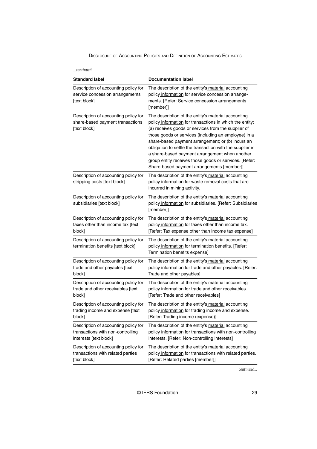| …continued                                                                                          |                                                                                                                                                                                                                                                                                                                                                                                                                                                                                                            |  |
|-----------------------------------------------------------------------------------------------------|------------------------------------------------------------------------------------------------------------------------------------------------------------------------------------------------------------------------------------------------------------------------------------------------------------------------------------------------------------------------------------------------------------------------------------------------------------------------------------------------------------|--|
| <b>Standard label</b>                                                                               | <b>Documentation label</b>                                                                                                                                                                                                                                                                                                                                                                                                                                                                                 |  |
| Description of accounting policy for<br>service concession arrangements<br>[text block]             | The description of the entity's material accounting<br>policy information for service concession arrange-<br>ments. [Refer: Service concession arrangements<br>[member]]                                                                                                                                                                                                                                                                                                                                   |  |
| Description of accounting policy for<br>share-based payment transactions<br>[text block]            | The description of the entity's material accounting<br>policy information for transactions in which the entity:<br>(a) receives goods or services from the supplier of<br>those goods or services (including an employee) in a<br>share-based payment arrangement; or (b) incurs an<br>obligation to settle the transaction with the supplier in<br>a share-based payment arrangement when another<br>group entity receives those goods or services. [Refer:<br>Share-based payment arrangements [member]] |  |
| Description of accounting policy for<br>stripping costs [text block]                                | The description of the entity's material accounting<br>policy information for waste removal costs that are<br>incurred in mining activity.                                                                                                                                                                                                                                                                                                                                                                 |  |
| Description of accounting policy for<br>subsidiaries [text block]                                   | The description of the entity's material accounting<br>policy information for subsidiaries. [Refer: Subsidiaries<br>[member]]                                                                                                                                                                                                                                                                                                                                                                              |  |
| Description of accounting policy for<br>taxes other than income tax [text<br>block]                 | The description of the entity's material accounting<br>policy information for taxes other than income tax.<br>[Refer: Tax expense other than income tax expense]                                                                                                                                                                                                                                                                                                                                           |  |
| Description of accounting policy for<br>termination benefits [text block]                           | The description of the entity's material accounting<br>policy information for termination benefits. [Refer:<br>Termination benefits expense]                                                                                                                                                                                                                                                                                                                                                               |  |
| Description of accounting policy for<br>trade and other payables [text<br>block]                    | The description of the entity's material accounting<br>policy information for trade and other payables. [Refer:<br>Trade and other payables]                                                                                                                                                                                                                                                                                                                                                               |  |
| Description of accounting policy for<br>trade and other receivables [text<br>block]                 | The description of the entity's material accounting<br>policy information for trade and other receivables.<br>[Refer: Trade and other receivables]                                                                                                                                                                                                                                                                                                                                                         |  |
| Description of accounting policy for<br>trading income and expense [text<br>block]                  | The description of the entity's material accounting<br>policy information for trading income and expense.<br>[Refer: Trading income (expense)]                                                                                                                                                                                                                                                                                                                                                             |  |
| Description of accounting policy for<br>transactions with non-controlling<br>interests [text block] | The description of the entity's material accounting<br>policy information for transactions with non-controlling<br>interests. [Refer: Non-controlling interests]                                                                                                                                                                                                                                                                                                                                           |  |
| Description of accounting policy for<br>transactions with related parties<br>[text block]           | The description of the entity's material accounting<br>policy information for transactions with related parties.<br>[Refer: Related parties [member]]                                                                                                                                                                                                                                                                                                                                                      |  |